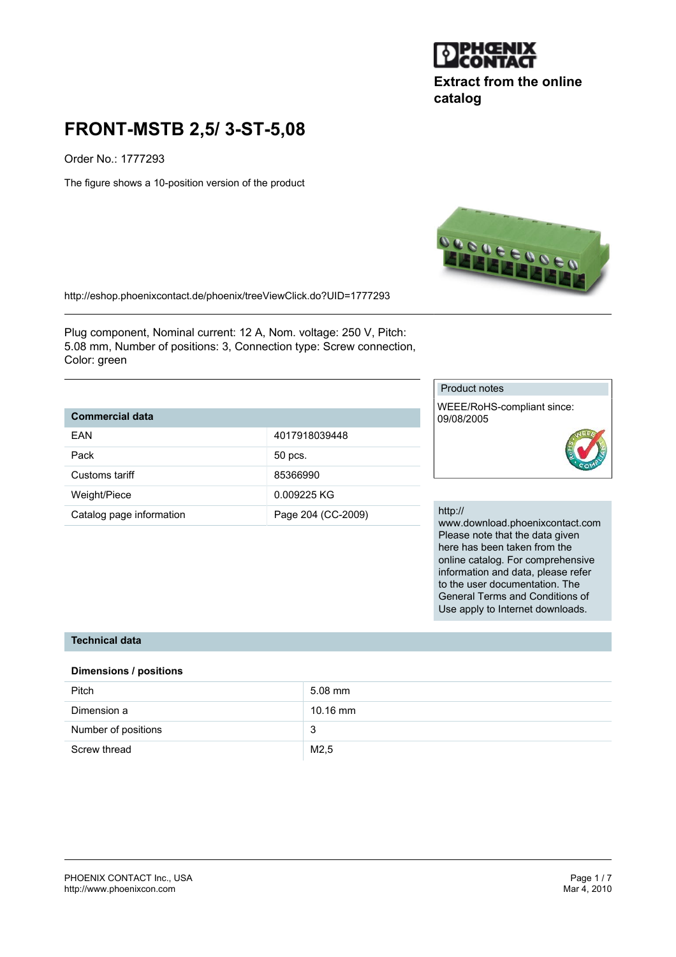

**Extract from the online catalog**

# **FRONT-MSTB 2,5/ 3-ST-5,08**

Order No.: 1777293

The figure shows a 10-position version of the product



http://eshop.phoenixcontact.de/phoenix/treeViewClick.do?UID=1777293

Plug component, Nominal current: 12 A, Nom. voltage: 250 V, Pitch: 5.08 mm, Number of positions: 3, Connection type: Screw connection, Color: green

# **Commercial data**

| FAN                      | 4017918039448      |
|--------------------------|--------------------|
| Pack                     | 50 pcs.            |
| Customs tariff           | 85366990           |
| Weight/Piece             | 0.009225 KG        |
| Catalog page information | Page 204 (CC-2009) |

## Product notes

WEEE/RoHS-compliant since: 09/08/2005



#### http://

www.download.phoenixcontact.com Please note that the data given here has been taken from the online catalog. For comprehensive information and data, please refer to the user documentation. The General Terms and Conditions of Use apply to Internet downloads.

## **Technical data**

#### **Dimensions / positions**

| <b>Pitch</b>        | $5.08$ mm  |
|---------------------|------------|
| Dimension a         | $10.16$ mm |
| Number of positions | 3          |
| Screw thread        | M2,5       |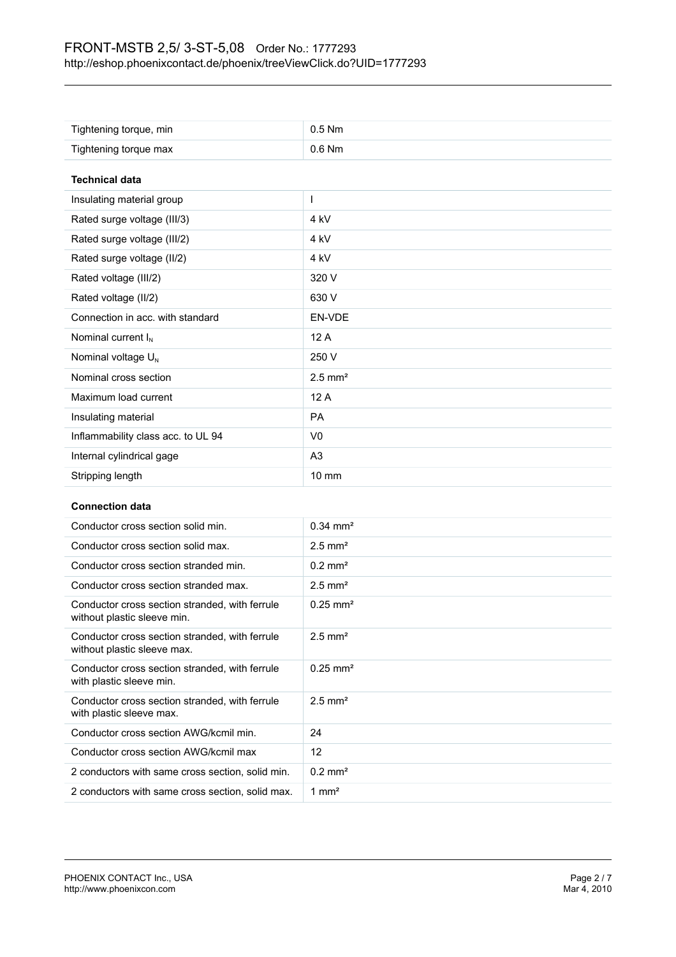| Tightening torque, min             | $0.5$ Nm              |  |
|------------------------------------|-----------------------|--|
| Tightening torque max              | $0.6$ Nm              |  |
| <b>Technical data</b>              |                       |  |
| Insulating material group          | $\mathbf{I}$          |  |
| Rated surge voltage (III/3)        | 4 kV                  |  |
| Rated surge voltage (III/2)        | 4 <sub>kV</sub>       |  |
| Rated surge voltage (II/2)         | 4 <sub>kV</sub>       |  |
| Rated voltage (III/2)              | 320 V                 |  |
| Rated voltage (II/2)               | 630 V                 |  |
| Connection in acc. with standard   | EN-VDE                |  |
| Nominal current I <sub>N</sub>     | 12A                   |  |
| Nominal voltage $U_N$              | 250 V                 |  |
| Nominal cross section              | $2.5$ mm <sup>2</sup> |  |
| Maximum load current               | 12A                   |  |
| Insulating material                | <b>PA</b>             |  |
| Inflammability class acc. to UL 94 | V <sub>0</sub>        |  |
| Internal cylindrical gage          | A <sub>3</sub>        |  |
| Stripping length                   | $10 \text{ mm}$       |  |

## **Connection data**

| Conductor cross section solid min.                                            | $0.34 \text{ mm}^2$    |
|-------------------------------------------------------------------------------|------------------------|
| Conductor cross section solid max.                                            | $2.5$ mm <sup>2</sup>  |
| Conductor cross section stranded min.                                         | $0.2$ mm <sup>2</sup>  |
| Conductor cross section stranded max.                                         | $2.5$ mm <sup>2</sup>  |
| Conductor cross section stranded, with ferrule<br>without plastic sleeve min. | $0.25 \text{ mm}^2$    |
| Conductor cross section stranded, with ferrule<br>without plastic sleeve max. | $2.5$ mm <sup>2</sup>  |
| Conductor cross section stranded, with ferrule<br>with plastic sleeve min.    | $0.25$ mm <sup>2</sup> |
| Conductor cross section stranded, with ferrule<br>with plastic sleeve max.    | $2.5$ mm <sup>2</sup>  |
| Conductor cross section AWG/kcmil min.                                        | 24                     |
| Conductor cross section AWG/kcmil max                                         | 12                     |
| 2 conductors with same cross section, solid min.                              | $0.2 \text{ mm}^2$     |
| 2 conductors with same cross section, solid max.                              | 1 $mm2$                |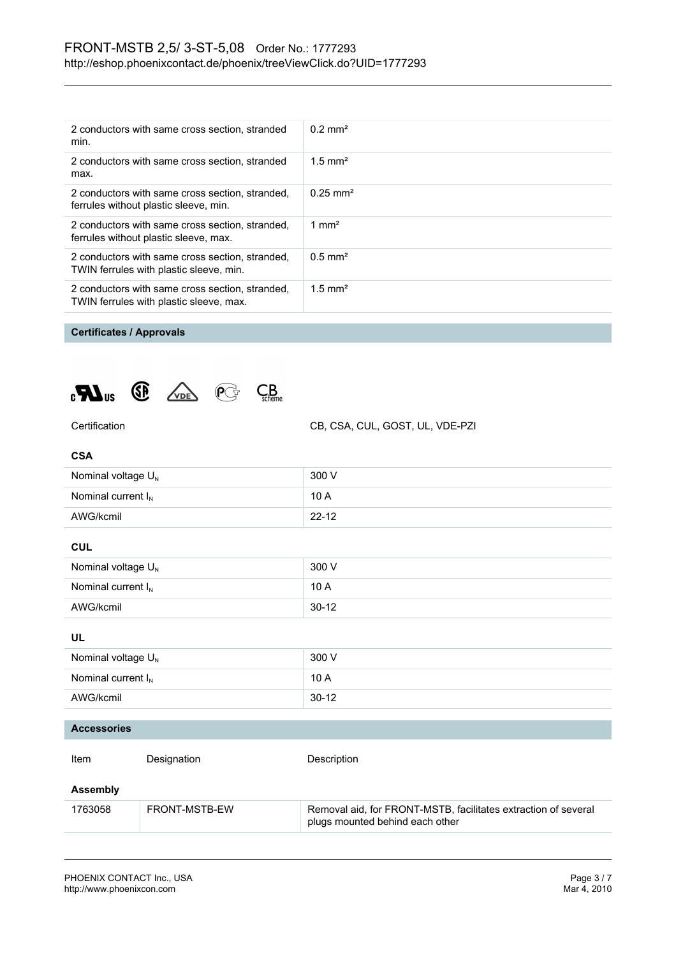| 2 conductors with same cross section, stranded<br>min.                                     | $0.2 \text{ mm}^2$    |
|--------------------------------------------------------------------------------------------|-----------------------|
| 2 conductors with same cross section, stranded<br>max.                                     | $1.5$ mm <sup>2</sup> |
| 2 conductors with same cross section, stranded,<br>ferrules without plastic sleeve, min.   | $0.25 \text{ mm}^2$   |
| 2 conductors with same cross section, stranded,<br>ferrules without plastic sleeve, max.   | 1 mm <sup>2</sup>     |
| 2 conductors with same cross section, stranded,<br>TWIN ferrules with plastic sleeve, min. | $0.5$ mm <sup>2</sup> |
| 2 conductors with same cross section, stranded,<br>TWIN ferrules with plastic sleeve, max. | $1.5$ mm <sup>2</sup> |
|                                                                                            |                       |

## **Certificates / Approvals**





Certification CB, CSA, CUL, GOST, UL, VDE-PZI

| <b>CSA</b>                     |           |  |
|--------------------------------|-----------|--|
| Nominal voltage U <sub>N</sub> | 300 V     |  |
| Nominal current $I_N$          | 10 A      |  |
| AWG/kcmil                      | $22 - 12$ |  |
| <b>CUL</b>                     |           |  |
| Nominal voltage U <sub>N</sub> | 300 V     |  |
| Nominal current $I_N$          | 10 A      |  |
| AWG/kcmil                      | $30 - 12$ |  |
| <b>UL</b>                      |           |  |
| Nominal voltage U <sub>N</sub> | 300 V     |  |
| Nominal current $I_N$          | 10 A      |  |
| AWG/kcmil                      | $30 - 12$ |  |
|                                |           |  |

#### **Accessories**

Item Designation Description

## **Assembly**

| 1763058 | FRONT-MSTB-EW | Removal aid, for FRONT-MSTB, facilitates extraction of several |
|---------|---------------|----------------------------------------------------------------|
|         |               | plugs mounted behind each other                                |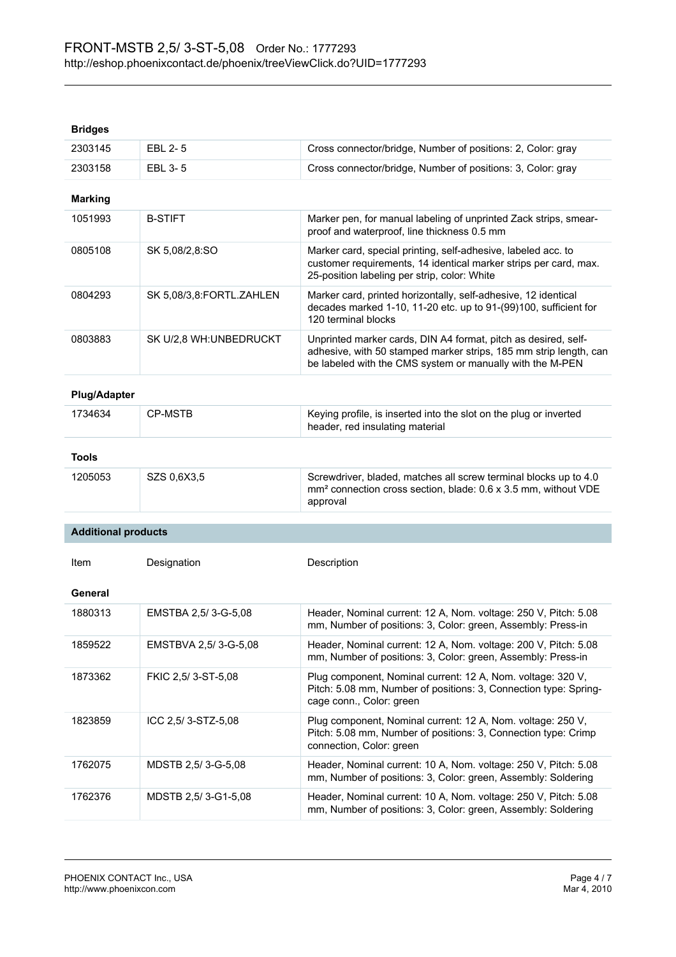| pnuycə                     |                          |                                                                                                                                                                                                  |
|----------------------------|--------------------------|--------------------------------------------------------------------------------------------------------------------------------------------------------------------------------------------------|
| 2303145                    | EBL 2-5                  | Cross connector/bridge, Number of positions: 2, Color: gray                                                                                                                                      |
| 2303158                    | EBL 3-5                  | Cross connector/bridge, Number of positions: 3, Color: gray                                                                                                                                      |
| <b>Marking</b>             |                          |                                                                                                                                                                                                  |
| 1051993                    | <b>B-STIFT</b>           | Marker pen, for manual labeling of unprinted Zack strips, smear-<br>proof and waterproof, line thickness 0.5 mm                                                                                  |
| 0805108                    | SK 5,08/2,8:SO           | Marker card, special printing, self-adhesive, labeled acc. to<br>customer requirements, 14 identical marker strips per card, max.<br>25-position labeling per strip, color: White                |
| 0804293                    | SK 5,08/3,8:FORTL.ZAHLEN | Marker card, printed horizontally, self-adhesive, 12 identical<br>decades marked 1-10, 11-20 etc. up to 91-(99)100, sufficient for<br>120 terminal blocks                                        |
| 0803883                    | SK U/2,8 WH: UNBEDRUCKT  | Unprinted marker cards, DIN A4 format, pitch as desired, self-<br>adhesive, with 50 stamped marker strips, 185 mm strip length, can<br>be labeled with the CMS system or manually with the M-PEN |
| <b>Plug/Adapter</b>        |                          |                                                                                                                                                                                                  |
| 1734634                    | <b>CP-MSTB</b>           | Keying profile, is inserted into the slot on the plug or inverted<br>header, red insulating material                                                                                             |
| <b>Tools</b>               |                          |                                                                                                                                                                                                  |
| 1205053                    | SZS 0,6X3,5              | Screwdriver, bladed, matches all screw terminal blocks up to 4.0<br>mm <sup>2</sup> connection cross section, blade: 0.6 x 3.5 mm, without VDE<br>approval                                       |
| <b>Additional products</b> |                          |                                                                                                                                                                                                  |
| Item                       | Designation              | Description                                                                                                                                                                                      |
|                            |                          |                                                                                                                                                                                                  |
| General                    |                          |                                                                                                                                                                                                  |
| 1880313                    | EMSTBA 2,5/3-G-5,08      | Header, Nominal current: 12 A, Nom. voltage: 250 V, Pitch: 5.08<br>mm, Number of positions: 3, Color: green, Assembly: Press-in                                                                  |
| 1859522                    | EMSTBVA 2,5/3-G-5,08     | Header, Nominal current: 12 A, Nom. voltage: 200 V, Pitch: 5.08<br>mm, Number of positions: 3, Color: green, Assembly: Press-in                                                                  |
| 1873362                    | FKIC 2,5/3-ST-5,08       | Plug component, Nominal current: 12 A, Nom. voltage: 320 V,<br>Pitch: 5.08 mm, Number of positions: 3, Connection type: Spring-<br>cage conn., Color: green                                      |
| 1823859                    | ICC 2,5/3-STZ-5,08       | Plug component, Nominal current: 12 A, Nom. voltage: 250 V,<br>Pitch: 5.08 mm, Number of positions: 3, Connection type: Crimp<br>connection, Color: green                                        |
| 1762075                    | MDSTB 2,5/3-G-5,08       | Header, Nominal current: 10 A, Nom. voltage: 250 V, Pitch: 5.08<br>mm, Number of positions: 3, Color: green, Assembly: Soldering                                                                 |
| 1762376                    | MDSTB 2,5/3-G1-5,08      | Header, Nominal current: 10 A, Nom. voltage: 250 V, Pitch: 5.08<br>mm, Number of positions: 3, Color: green, Assembly: Soldering                                                                 |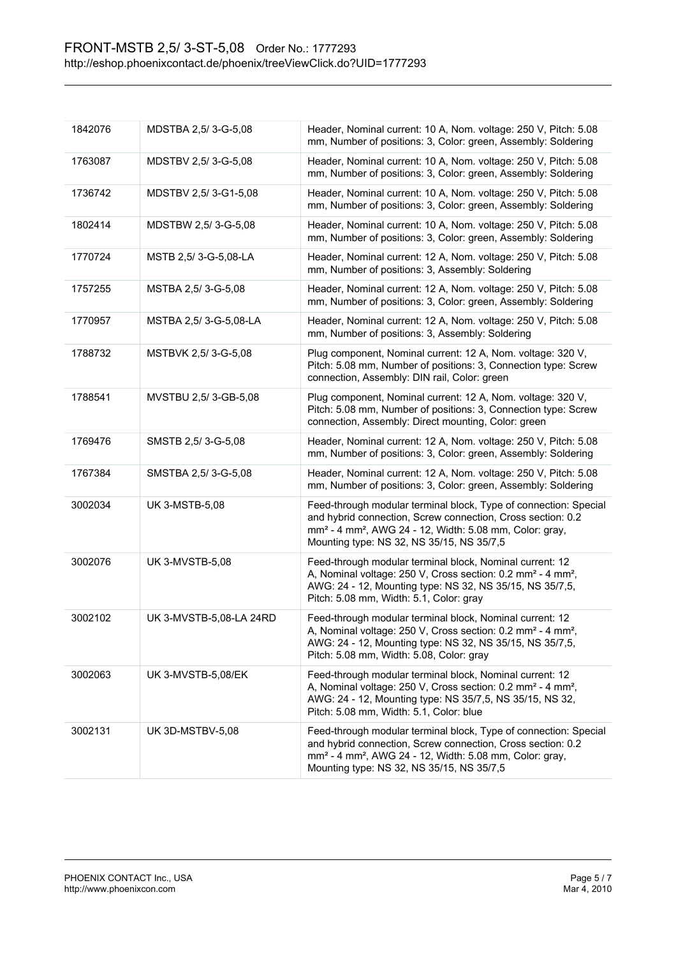| 1842076 | MDSTBA 2,5/3-G-5,08     | Header, Nominal current: 10 A, Nom. voltage: 250 V, Pitch: 5.08<br>mm, Number of positions: 3, Color: green, Assembly: Soldering                                                                                                                                |
|---------|-------------------------|-----------------------------------------------------------------------------------------------------------------------------------------------------------------------------------------------------------------------------------------------------------------|
| 1763087 | MDSTBV 2,5/3-G-5,08     | Header, Nominal current: 10 A, Nom. voltage: 250 V, Pitch: 5.08<br>mm, Number of positions: 3, Color: green, Assembly: Soldering                                                                                                                                |
| 1736742 | MDSTBV 2,5/3-G1-5,08    | Header, Nominal current: 10 A, Nom. voltage: 250 V, Pitch: 5.08<br>mm, Number of positions: 3, Color: green, Assembly: Soldering                                                                                                                                |
| 1802414 | MDSTBW 2,5/3-G-5,08     | Header, Nominal current: 10 A, Nom. voltage: 250 V, Pitch: 5.08<br>mm, Number of positions: 3, Color: green, Assembly: Soldering                                                                                                                                |
| 1770724 | MSTB 2,5/3-G-5,08-LA    | Header, Nominal current: 12 A, Nom. voltage: 250 V, Pitch: 5.08<br>mm, Number of positions: 3, Assembly: Soldering                                                                                                                                              |
| 1757255 | MSTBA 2,5/3-G-5,08      | Header, Nominal current: 12 A, Nom. voltage: 250 V, Pitch: 5.08<br>mm, Number of positions: 3, Color: green, Assembly: Soldering                                                                                                                                |
| 1770957 | MSTBA 2,5/3-G-5,08-LA   | Header, Nominal current: 12 A, Nom. voltage: 250 V, Pitch: 5.08<br>mm, Number of positions: 3, Assembly: Soldering                                                                                                                                              |
| 1788732 | MSTBVK 2,5/3-G-5,08     | Plug component, Nominal current: 12 A, Nom. voltage: 320 V,<br>Pitch: 5.08 mm, Number of positions: 3, Connection type: Screw<br>connection, Assembly: DIN rail, Color: green                                                                                   |
| 1788541 | MVSTBU 2,5/3-GB-5,08    | Plug component, Nominal current: 12 A, Nom. voltage: 320 V,<br>Pitch: 5.08 mm, Number of positions: 3, Connection type: Screw<br>connection, Assembly: Direct mounting, Color: green                                                                            |
| 1769476 | SMSTB 2,5/3-G-5,08      | Header, Nominal current: 12 A, Nom. voltage: 250 V, Pitch: 5.08<br>mm, Number of positions: 3, Color: green, Assembly: Soldering                                                                                                                                |
| 1767384 | SMSTBA 2,5/3-G-5,08     | Header, Nominal current: 12 A, Nom. voltage: 250 V, Pitch: 5.08<br>mm, Number of positions: 3, Color: green, Assembly: Soldering                                                                                                                                |
| 3002034 | <b>UK 3-MSTB-5,08</b>   | Feed-through modular terminal block, Type of connection: Special<br>and hybrid connection, Screw connection, Cross section: 0.2<br>mm <sup>2</sup> - 4 mm <sup>2</sup> , AWG 24 - 12, Width: 5.08 mm, Color: gray,<br>Mounting type: NS 32, NS 35/15, NS 35/7,5 |
| 3002076 | <b>UK 3-MVSTB-5,08</b>  | Feed-through modular terminal block, Nominal current: 12<br>A, Nominal voltage: 250 V, Cross section: 0.2 mm <sup>2</sup> - 4 mm <sup>2</sup> ,<br>AWG: 24 - 12, Mounting type: NS 32, NS 35/15, NS 35/7,5,<br>Pitch: 5.08 mm, Width: 5.1, Color: gray          |
| 3002102 | UK 3-MVSTB-5,08-LA 24RD | Feed-through modular terminal block, Nominal current: 12<br>A, Nominal voltage: 250 V, Cross section: 0.2 mm <sup>2</sup> - 4 mm <sup>2</sup> ,<br>AWG: 24 - 12, Mounting type: NS 32, NS 35/15, NS 35/7,5,<br>Pitch: 5.08 mm, Width: 5.08, Color: gray         |
| 3002063 | UK 3-MVSTB-5,08/EK      | Feed-through modular terminal block, Nominal current: 12<br>A, Nominal voltage: 250 V, Cross section: 0.2 mm <sup>2</sup> - 4 mm <sup>2</sup> ,<br>AWG: 24 - 12, Mounting type: NS 35/7,5, NS 35/15, NS 32,<br>Pitch: 5.08 mm, Width: 5.1, Color: blue          |
| 3002131 | UK 3D-MSTBV-5,08        | Feed-through modular terminal block, Type of connection: Special<br>and hybrid connection, Screw connection, Cross section: 0.2<br>mm <sup>2</sup> - 4 mm <sup>2</sup> , AWG 24 - 12, Width: 5.08 mm, Color: gray,<br>Mounting type: NS 32, NS 35/15, NS 35/7,5 |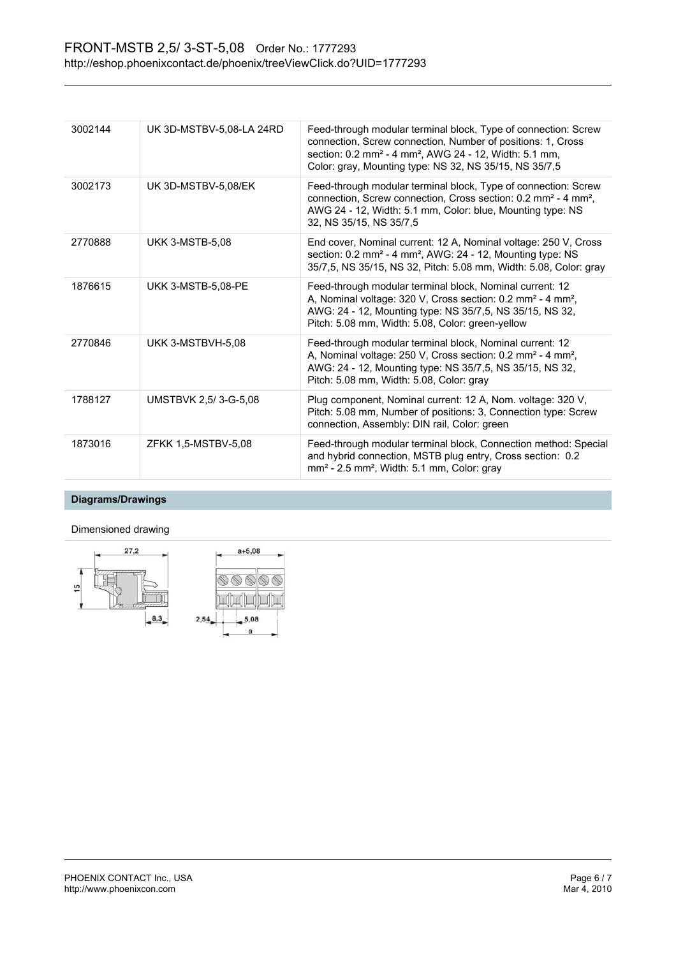| 3002144 | UK 3D-MSTBV-5,08-LA 24RD | Feed-through modular terminal block, Type of connection: Screw<br>connection, Screw connection, Number of positions: 1, Cross<br>section: 0.2 mm <sup>2</sup> - 4 mm <sup>2</sup> , AWG 24 - 12, Width: 5.1 mm,<br>Color: gray, Mounting type: NS 32, NS 35/15, NS 35/7,5 |
|---------|--------------------------|---------------------------------------------------------------------------------------------------------------------------------------------------------------------------------------------------------------------------------------------------------------------------|
| 3002173 | UK 3D-MSTBV-5.08/EK      | Feed-through modular terminal block, Type of connection: Screw<br>connection, Screw connection, Cross section: 0.2 mm <sup>2</sup> - 4 mm <sup>2</sup> ,<br>AWG 24 - 12, Width: 5.1 mm, Color: blue, Mounting type: NS<br>32, NS 35/15, NS 35/7.5                         |
| 2770888 | <b>UKK 3-MSTB-5,08</b>   | End cover, Nominal current: 12 A, Nominal voltage: 250 V, Cross<br>section: $0.2 \text{ mm}^2$ - 4 mm <sup>2</sup> , AWG: $24 - 12$ , Mounting type: NS<br>35/7,5, NS 35/15, NS 32, Pitch: 5.08 mm, Width: 5.08, Color: gray                                              |
| 1876615 | UKK 3-MSTB-5,08-PE       | Feed-through modular terminal block, Nominal current: 12<br>A, Nominal voltage: 320 V, Cross section: 0.2 mm <sup>2</sup> - 4 mm <sup>2</sup> ,<br>AWG: 24 - 12, Mounting type: NS 35/7,5, NS 35/15, NS 32,<br>Pitch: 5.08 mm, Width: 5.08, Color: green-yellow           |
| 2770846 | UKK 3-MSTBVH-5,08        | Feed-through modular terminal block, Nominal current: 12<br>A, Nominal voltage: 250 V, Cross section: 0.2 mm <sup>2</sup> - 4 mm <sup>2</sup> ,<br>AWG: 24 - 12, Mounting type: NS 35/7,5, NS 35/15, NS 32,<br>Pitch: 5.08 mm, Width: 5.08, Color: gray                   |
| 1788127 | UMSTBVK 2,5/3-G-5,08     | Plug component, Nominal current: 12 A, Nom. voltage: 320 V,<br>Pitch: 5.08 mm, Number of positions: 3, Connection type: Screw<br>connection, Assembly: DIN rail, Color: green                                                                                             |
| 1873016 | ZFKK 1,5-MSTBV-5,08      | Feed-through modular terminal block, Connection method: Special<br>and hybrid connection, MSTB plug entry, Cross section: 0.2<br>mm <sup>2</sup> - 2.5 mm <sup>2</sup> , Width: 5.1 mm, Color: gray                                                                       |

## **Diagrams/Drawings**

## Dimensioned drawing